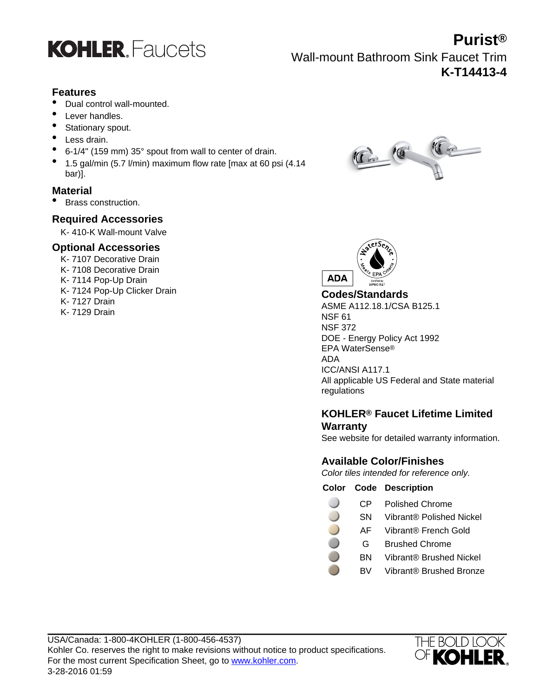

### **Purist®** Wall-mount Bathroom Sink Faucet Trim **K-T14413-4**

#### **Features**

- Dual control wall-mounted.
- Lever handles.
- Stationary spout.
- Less drain.
- 6-1/4" (159 mm) 35° spout from wall to center of drain.
- 1.5 gal/min (5.7 l/min) maximum flow rate [max at 60 psi (4.14 bar)].

#### **Material**

• Brass construction.

#### **Required Accessories**

K- 410-K Wall-mount Valve

#### **Optional Accessories**

K- 7107 Decorative Drain K- 7108 Decorative Drain K- 7114 Pop-Up Drain K- 7124 Pop-Up Clicker Drain K- 7127 Drain K- 7129 Drain





#### **Codes/Standards**

ASME A112.18.1/CSA B125.1 NSF 61 NSF 372 DOE - Energy Policy Act 1992 EPA WaterSense® ADA ICC/ANSI A117.1 All applicable US Federal and State material regulations

#### **KOHLER® Faucet Lifetime Limited Warranty**

See website for detailed warranty information.

### **Available Color/Finishes**

Color tiles intended for reference only.

#### **Color Code Description**

- CP Polished Chrome
- SN Vibrant® Polished Nickel
- AF Vibrant® French Gold
- G Brushed Chrome
- BN Vibrant® Brushed Nickel
- BV Vibrant® Brushed Bronze